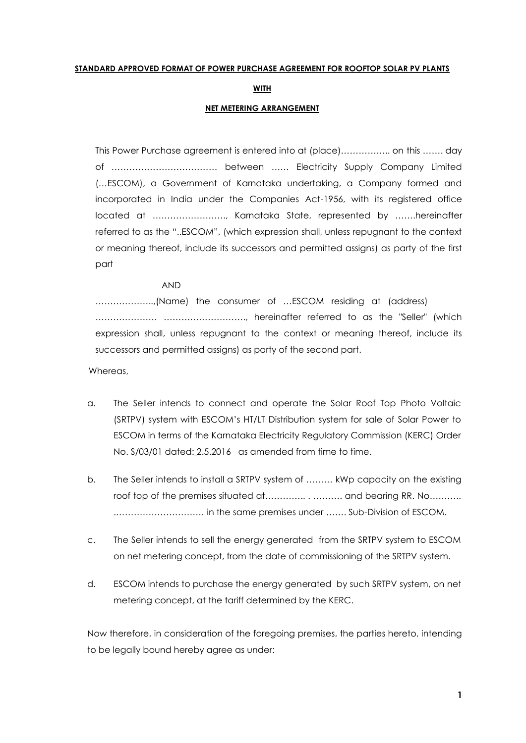#### **STANDARD APPROVED FORMAT OF POWER PURCHASE AGREEMENT FOR ROOFTOP SOLAR PV PLANTS**

### **WITH**

### **NET METERING ARRANGEMENT**

This Power Purchase agreement is entered into at (place)…………….. on this ……. day of ……………………………… between …… Electricity Supply Company Limited (…ESCOM), a Government of Karnataka undertaking, a Company formed and incorporated in India under the Companies Act-1956, with its registered office located at ……………………., Karnataka State, represented by …….hereinafter referred to as the "..ESCOM", (which expression shall, unless repugnant to the context or meaning thereof, include its successors and permitted assigns) as party of the first part

#### AND

………………..,(Name) the consumer of …ESCOM residing at (address) ………………… ………………………., hereinafter referred to as the "Seller" (which expression shall, unless repugnant to the context or meaning thereof, include its successors and permitted assigns) as party of the second part.

Whereas,

- a. The Seller intends to connect and operate the Solar Roof Top Photo Voltaic (SRTPV) system with ESCOM's HT/LT Distribution system for sale of Solar Power to ESCOM in terms of the Karnataka Electricity Regulatory Commission (KERC) Order No. S/03/01 dated: 2.5.2016 as amended from time to time.
- b. The Seller intends to install a SRTPV system of ……… kWp capacity on the existing roof top of the premises situated at…………... . .......... and bearing RR. No........... .………………………… in the same premises under ……. Sub-Division of ESCOM.
- c. The Seller intends to sell the energy generated from the SRTPV system to ESCOM on net metering concept, from the date of commissioning of the SRTPV system.
- d. ESCOM intends to purchase the energy generated by such SRTPV system, on net metering concept, at the tariff determined by the KERC.

Now therefore, in consideration of the foregoing premises, the parties hereto, intending to be legally bound hereby agree as under: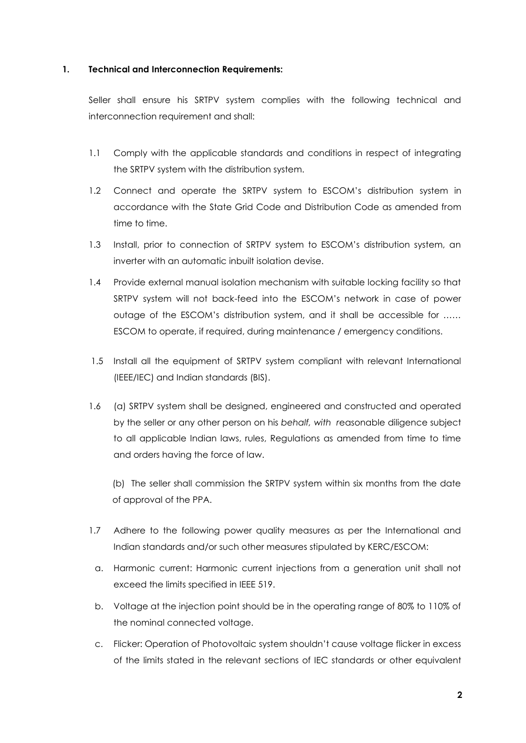### **1. Technical and Interconnection Requirements:**

Seller shall ensure his SRTPV system complies with the following technical and interconnection requirement and shall:

- 1.1 Comply with the applicable standards and conditions in respect of integrating the SRTPV system with the distribution system.
- 1.2 Connect and operate the SRTPV system to ESCOM's distribution system in accordance with the State Grid Code and Distribution Code as amended from time to time.
- 1.3 Install, prior to connection of SRTPV system to ESCOM's distribution system, an inverter with an automatic inbuilt isolation devise.
- 1.4 Provide external manual isolation mechanism with suitable locking facility so that SRTPV system will not back-feed into the ESCOM's network in case of power outage of the ESCOM's distribution system, and it shall be accessible for …… ESCOM to operate, if required, during maintenance / emergency conditions.
- 1.5 Install all the equipment of SRTPV system compliant with relevant International (IEEE/IEC) and Indian standards (BIS).
- 1.6 (a) SRTPV system shall be designed, engineered and constructed and operated by the seller or any other person on his *behalf, with r*easonable diligence subject to all applicable Indian laws, rules, Regulations as amended from time to time and orders having the force of law.

(b) The seller shall commission the SRTPV system within six months from the date of approval of the PPA.

- 1.7 Adhere to the following power quality measures as per the International and Indian standards and/or such other measures stipulated by KERC/ESCOM:
	- a. Harmonic current: Harmonic current injections from a generation unit shall not exceed the limits specified in IEEE 519.
	- b. Voltage at the injection point should be in the operating range of 80% to 110% of the nominal connected voltage.
	- c. Flicker: Operation of Photovoltaic system shouldn't cause voltage flicker in excess of the limits stated in the relevant sections of IEC standards or other equivalent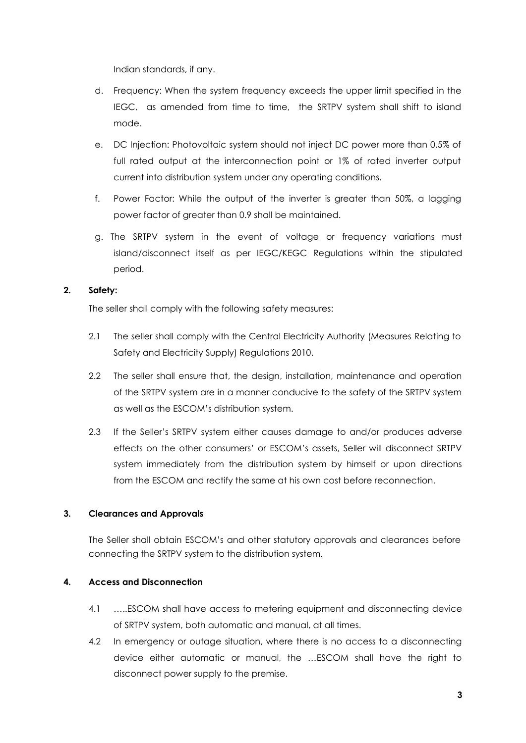Indian standards, if any.

- d. Frequency: When the system frequency exceeds the upper limit specified in the IEGC, as amended from time to time, the SRTPV system shall shift to island mode.
- e. DC Injection: Photovoltaic system should not inject DC power more than 0.5% of full rated output at the interconnection point or 1% of rated inverter output current into distribution system under any operating conditions.
- f. Power Factor: While the output of the inverter is greater than 50%, a lagging power factor of greater than 0.9 shall be maintained.
- g. The SRTPV system in the event of voltage or frequency variations must island/disconnect itself as per IEGC/KEGC Regulations within the stipulated period.

# **2. Safety:**

The seller shall comply with the following safety measures:

- 2.1 The seller shall comply with the Central Electricity Authority (Measures Relating to Safety and Electricity Supply) Regulations 2010.
- 2.2 The seller shall ensure that, the design, installation, maintenance and operation of the SRTPV system are in a manner conducive to the safety of the SRTPV system as well as the ESCOM's distribution system.
- 2.3 If the Seller's SRTPV system either causes damage to and/or produces adverse effects on the other consumers' or ESCOM's assets, Seller will disconnect SRTPV system immediately from the distribution system by himself or upon directions from the ESCOM and rectify the same at his own cost before reconnection.

# **3. Clearances and Approvals**

The Seller shall obtain ESCOM's and other statutory approvals and clearances before connecting the SRTPV system to the distribution system.

# **4. Access and Disconnection**

- 4.1 …..ESCOM shall have access to metering equipment and disconnecting device of SRTPV system, both automatic and manual, at all times.
- 4.2 In emergency or outage situation, where there is no access to a disconnecting device either automatic or manual, the …ESCOM shall have the right to disconnect power supply to the premise.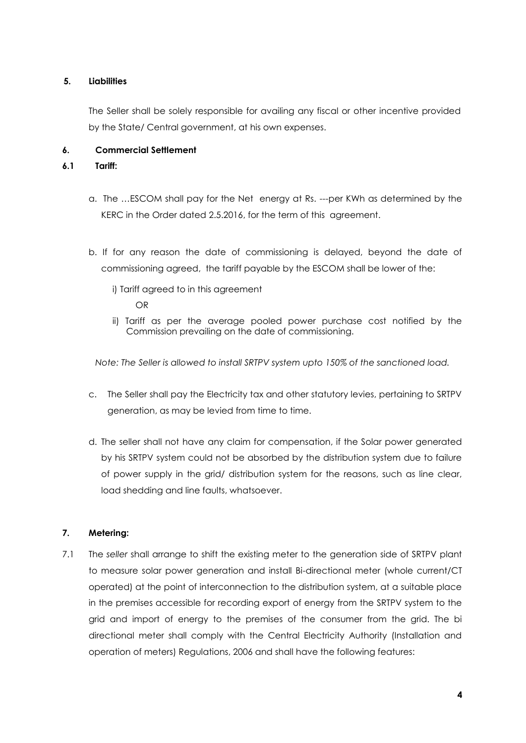# **5. Liabilities**

The Seller shall be solely responsible for availing any fiscal or other incentive provided by the State/ Central government, at his own expenses.

# **6. Commercial Settlement**

## **6.1 Tariff:**

- a. The …ESCOM shall pay for the Net energy at Rs. ---per KWh as determined by the KERC in the Order dated 2.5.2016, for the term of this agreement.
- b. If for any reason the date of commissioning is delayed, beyond the date of commissioning agreed, the tariff payable by the ESCOM shall be lower of the:
	- i) Tariff agreed to in this agreement

OR

 ii) Tariff as per the average pooled power purchase cost notified by the Commission prevailing on the date of commissioning.

*Note: The Seller is allowed to install SRTPV system upto 150% of the sanctioned load.*

- c. The Seller shall pay the Electricity tax and other statutory levies, pertaining to SRTPV generation, as may be levied from time to time.
- d. The seller shall not have any claim for compensation, if the Solar power generated by his SRTPV system could not be absorbed by the distribution system due to failure of power supply in the grid/ distribution system for the reasons, such as line clear, load shedding and line faults, whatsoever.

# **7. Metering:**

7.1 The *seller* shall arrange to shift the existing meter to the generation side of SRTPV plant to measure solar power generation and install Bi-directional meter (whole current/CT operated) at the point of interconnection to the distribution system, at a suitable place in the premises accessible for recording export of energy from the SRTPV system to the grid and import of energy to the premises of the consumer from the grid. The bi directional meter shall comply with the Central Electricity Authority (Installation and operation of meters) Regulations, 2006 and shall have the following features: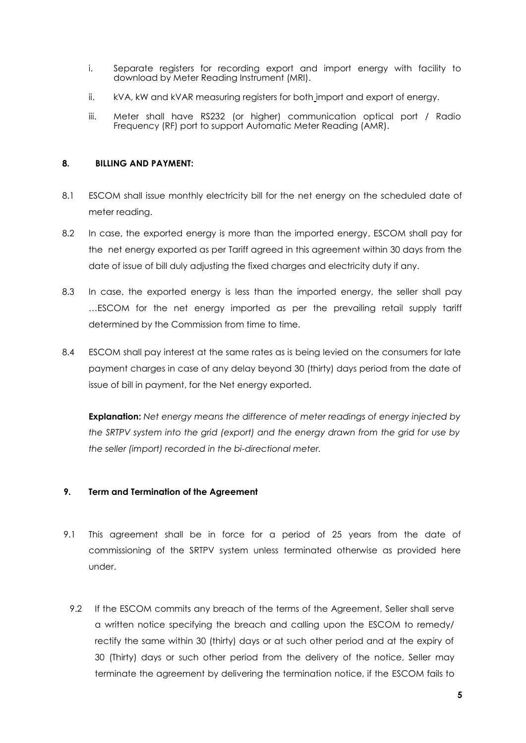- i. Separate registers for recording export and import energy with facility to download by Meter Reading Instrument (MRI).
- ii. kVA, kW and kVAR measuring registers for both import and export of energy.
- iii. Meter shall have RS232 (or higher) communication optical port / Radio Frequency (RF) port to support Automatic Meter Reading (AMR).

### **8. BILLING AND PAYMENT:**

- 8.1 ESCOM shall issue monthly electricity bill for the net energy on the scheduled date of meter reading.
- 8.2 In case, the exported energy is more than the imported energy, ESCOM shall pay for the net energy exported as per Tariff agreed in this agreement within 30 days from the date of issue of bill duly adjusting the fixed charges and electricity duty if any.
- 8.3 In case, the exported energy is less than the imported energy, the seller shall pay …ESCOM for the net energy imported as per the prevailing retail supply tariff determined by the Commission from time to time.
- 8.4 ESCOM shall pay interest at the same rates as is being levied on the consumers for late payment charges in case of any delay beyond 30 (thirty) days period from the date of issue of bill in payment, for the Net energy exported.

**Explanation:** *Net energy means the difference of meter readings of energy injected by the SRTPV system into the grid (export) and the energy drawn from the grid for use by the seller (import) recorded in the bi-directional meter.*

# **9. Term and Termination of the Agreement**

- 9.1 This agreement shall be in force for a period of 25 years from the date of commissioning of the SRTPV system unless terminated otherwise as provided here under.
	- 9.2 If the ESCOM commits any breach of the terms of the Agreement, Seller shall serve a written notice specifying the breach and calling upon the ESCOM to remedy/ rectify the same within 30 (thirty) days or at such other period and at the expiry of 30 (Thirty) days or such other period from the delivery of the notice, Seller may terminate the agreement by delivering the termination notice, if the ESCOM fails to